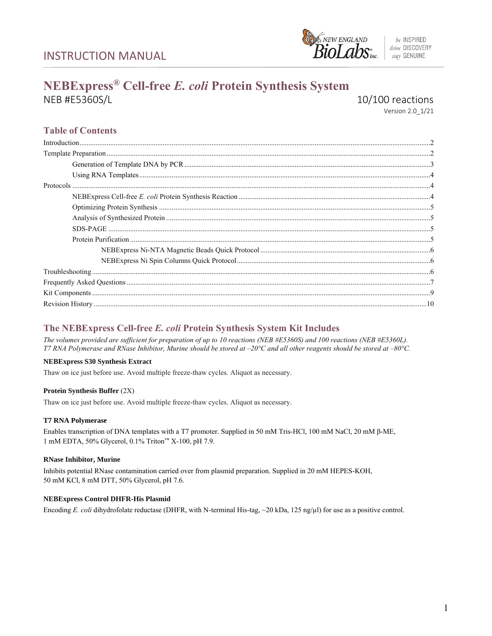INSTRUCTION MANUAL



be INSPIRED drive DISCOVERY stay GENUINE

# **NEBExpress® Cell-free** *E. coli* **Protein Synthesis System** NEB #E5360S/L 10/100 reactions

Version 2.0\_1/21

# **Table of Contents**

| $Introduction ________ ________ ________ ________ ________ ________ ________ ________ ________ ________ ________ ________ ________ ________ ________ ________ ________ ________ ________ ________ ________ ________ ________ ________ ________ ________ ________ ________ ________ ________ ________$ |
|-------------------------------------------------------------------------------------------------------------------------------------------------------------------------------------------------------------------------------------------------------------------------------------------------------|
|                                                                                                                                                                                                                                                                                                       |
|                                                                                                                                                                                                                                                                                                       |
|                                                                                                                                                                                                                                                                                                       |
|                                                                                                                                                                                                                                                                                                       |
|                                                                                                                                                                                                                                                                                                       |
|                                                                                                                                                                                                                                                                                                       |
|                                                                                                                                                                                                                                                                                                       |
| SPS-PAGE<br>The Purification<br>Sprotein Purification<br>Subset of Purification<br>Sprotein Purification<br>Subset of Purification<br>Subset of Purification<br>Subset of Purification<br>Subset of Purification<br>Subset of Purificat                                                               |
|                                                                                                                                                                                                                                                                                                       |
|                                                                                                                                                                                                                                                                                                       |
|                                                                                                                                                                                                                                                                                                       |
|                                                                                                                                                                                                                                                                                                       |
|                                                                                                                                                                                                                                                                                                       |
|                                                                                                                                                                                                                                                                                                       |
|                                                                                                                                                                                                                                                                                                       |

### **The NEBExpress Cell-free** *E. coli* **Protein Synthesis System Kit Includes**

*The volumes provided are sufficient for preparation of up to 10 reactions (NEB #E5360S) and 100 reactions (NEB #E5360L). T7 RNA Polymerase and RNase Inhibitor, Murine should be stored at*  $-20^{\circ}$ *C and all other reagents should be stored at*  $-80^{\circ}$ *C.* 

### **NEBExpress S30 Synthesis Extract**

Thaw on ice just before use. Avoid multiple freeze-thaw cycles. Aliquot as necessary.

### **Protein Synthesis Buffer** (2X)

Thaw on ice just before use. Avoid multiple freeze-thaw cycles. Aliquot as necessary.

### **T7 RNA Polymerase**

Enables transcription of DNA templates with a T7 promoter. Supplied in 50 mM Tris-HCl, 100 mM NaCl, 20 mM β-ME, 1 mM EDTA, 50% Glycerol, 0.1% Triton™ X-100, pH 7.9.

### **RNase Inhibitor, Murine**

Inhibits potential RNase contamination carried over from plasmid preparation. Supplied in 20 mM HEPES-KOH, 50 mM KCl, 8 mM DTT, 50% Glycerol, pH 7.6.

### **NEBExpress Control DHFR-His Plasmid**

Encoding *E. coli* dihydrofolate reductase (DHFR, with N-terminal His-tag, ~20 kDa, 125 ng/µl) for use as a positive control.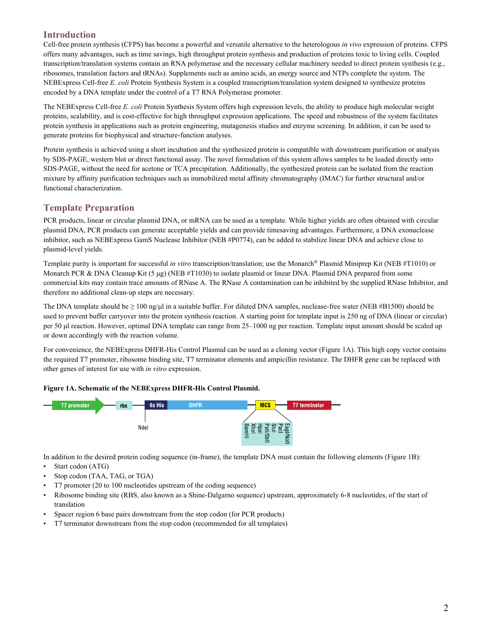### **Introduction**

Cell-free protein synthesis (CFPS) has become a powerful and versatile alternative to the heterologous *in vivo* expression of proteins. CFPS offers many advantages, such as time savings, high throughput protein synthesis and production of proteins toxic to living cells. Coupled transcription/translation systems contain an RNA polymerase and the necessary cellular machinery needed to direct protein synthesis (e.g., ribosomes, translation factors and tRNAs). Supplements such as amino acids, an energy source and NTPs complete the system. The NEBExpress Cell-free *E. coli* Protein Synthesis System is a coupled transcription/translation system designed to synthesize proteins encoded by a DNA template under the control of a T7 RNA Polymerase promoter.

The NEBExpress Cell-free *E. coli* Protein Synthesis System offers high expression levels, the ability to produce high molecular weight proteins, scalability, and is cost-effective for high throughput expression applications. The speed and robustness of the system facilitates protein synthesis in applications such as protein engineering, mutagenesis studies and enzyme screening. In addition, it can be used to generate proteins for biophysical and structure-function analyses.

Protein synthesis is achieved using a short incubation and the synthesized protein is compatible with downstream purification or analysis by SDS-PAGE, western blot or direct functional assay. The novel formulation of this system allows samples to be loaded directly onto SDS-PAGE, without the need for acetone or TCA precipitation. Additionally, the synthesized protein can be isolated from the reaction mixture by affinity purification techniques such as immobilized metal affinity chromatography (IMAC) for further structural and/or functional characterization.

### **Template Preparation**

PCR products, linear or circular plasmid DNA, or mRNA can be used as a template. While higher yields are often obtained with circular plasmid DNA, PCR products can generate acceptable yields and can provide timesaving advantages. Furthermore, a DNA exonuclease inhibitor, such as NEBExpress GamS Nuclease Inhibitor (NEB #P0774), can be added to stabilize linear DNA and achieve close to plasmid-level yields.

Template purity is important for successful *in vitro* transcription/translation; use the Monarch® Plasmid Miniprep Kit (NEB #T1010) or Monarch PCR & DNA Cleanup Kit (5 μg) (NEB #T1030) to isolate plasmid or linear DNA. Plasmid DNA prepared from some commercial kits may contain trace amounts of RNase A. The RNase A contamination can be inhibited by the supplied RNase Inhibitor, and therefore no additional clean-up steps are necessary.

The DNA template should be  $\geq 100$  ng/µl in a suitable buffer. For diluted DNA samples, nuclease-free water (NEB #B1500) should be used to prevent buffer carryover into the protein synthesis reaction. A starting point for template input is 250 ng of DNA (linear or circular) per 50 μl reaction. However, optimal DNA template can range from 25–1000 ng per reaction. Template input amount should be scaled up or down accordingly with the reaction volume.

For convenience, the NEBExpress DHFR-His Control Plasmid can be used as a cloning vector (Figure 1A). This high copy vector contains the required T7 promoter, ribosome binding site, T7 terminator elements and ampicillin resistance. The DHFR gene can be replaced with other genes of interest for use with *in vitro* expression.

### **Figure 1A. Schematic of the NEBExpress DHFR-His Control Plasmid.**



In addition to the desired protein coding sequence (in-frame), the template DNA must contain the following elements (Figure 1B):

- Start codon (ATG)
- Stop codon (TAA, TAG, or TGA)
- T7 promoter (20 to 100 nucleotides upstream of the coding sequence)
- Ribosome binding site (RBS, also known as a Shine-Dalgarno sequence) upstream, approximately 6-8 nucleotides, of the start of translation
- Spacer region 6 base pairs downstream from the stop codon (for PCR products)
- T7 terminator downstream from the stop codon (recommended for all templates)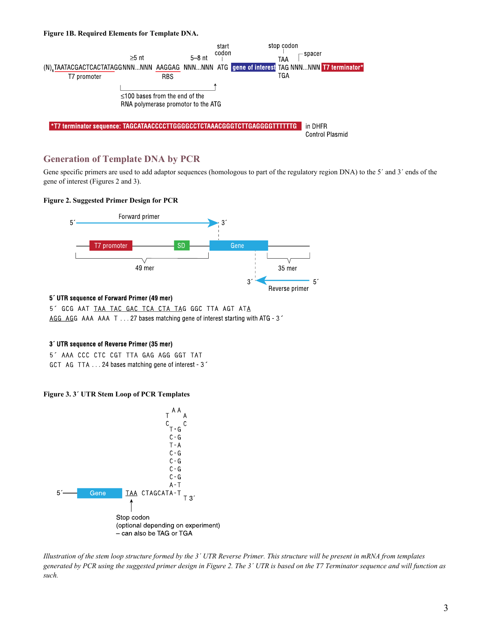#### **Figure 1B. Required Elements for Template DNA.**



### **Generation of Template DNA by PCR**

Gene specific primers are used to add adaptor sequences (homologous to part of the regulatory region DNA) to the 5' and 3' ends of the gene of interest (Figures 2 and 3).

### **Figure 2. Suggested Primer Design for PCR**



### 5' UTR sequence of Forward Primer (49 mer)

5' GCG AAT TAA TAC GAC TCA CTA TAG GGC TTA AGT ATA AGG AGG AAA AAA T . . . 27 bases matching gene of interest starting with ATG - 3

### 3' UTR sequence of Reverse Primer (35 mer)

5' AAA CCC CTC CGT TTA GAG AGG GGT TAT GCT AG TTA 24 bases matching gene of interest 3

### **Figure 3. 3´ UTR Stem Loop of PCR Templates**



*Illustration of the stem loop structure formed by the 3´ UTR Reverse Primer. This structure will be present in mRNA from templates generated by PCR using the suggested primer design in Figure 2. The 3´ UTR is based on the T7 Terminator sequence and will function as such.*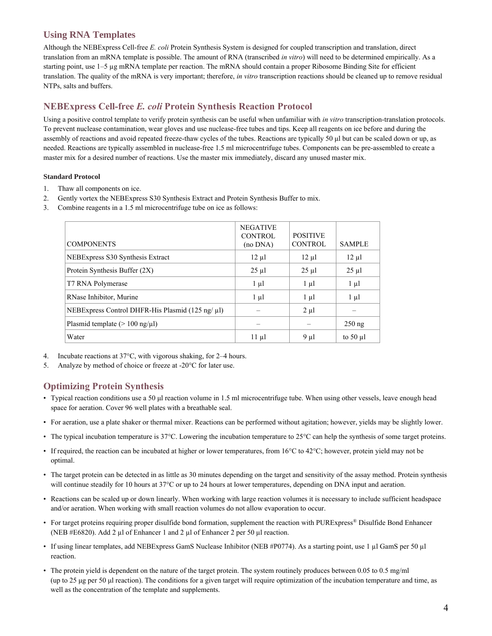### **Using RNA Templates**

Although the NEBExpress Cell-free *E. coli* Protein Synthesis System is designed for coupled transcription and translation, direct translation from an mRNA template is possible. The amount of RNA (transcribed *in vitro*) will need to be determined empirically. As a starting point, use 1–5 µg mRNA template per reaction. The mRNA should contain a proper Ribosome Binding Site for efficient translation. The quality of the mRNA is very important; therefore, *in vitro* transcription reactions should be cleaned up to remove residual NTPs, salts and buffers.

## **NEBExpress Cell-free** *E. coli* **Protein Synthesis Reaction Protocol**

Using a positive control template to verify protein synthesis can be useful when unfamiliar with *in vitro* transcription-translation protocols. To prevent nuclease contamination, wear gloves and use nuclease-free tubes and tips. Keep all reagents on ice before and during the assembly of reactions and avoid repeated freeze-thaw cycles of the tubes. Reactions are typically 50 μl but can be scaled down or up, as needed. Reactions are typically assembled in nuclease-free 1.5 ml microcentrifuge tubes. Components can be pre-assembled to create a master mix for a desired number of reactions. Use the master mix immediately, discard any unused master mix.

### **Standard Protocol**

- 1. Thaw all components on ice.
- 2. Gently vortex the NEBExpress S30 Synthesis Extract and Protein Synthesis Buffer to mix.
- 3. Combine reagents in a 1.5 ml microcentrifuge tube on ice as follows:

| <b>COMPONENTS</b>                                     | <b>NEGATIVE</b><br><b>CONTROL</b><br>$(no$ $DNA)$ | <b>POSITIVE</b><br><b>CONTROL</b> | <b>SAMPLE</b> |
|-------------------------------------------------------|---------------------------------------------------|-----------------------------------|---------------|
| NEBExpress S30 Synthesis Extract                      | $12 \mu l$                                        | $12 \mu l$                        | $12 \mu l$    |
| Protein Synthesis Buffer (2X)                         | $25 \mu l$                                        | $25 \mu$ l                        | $25 \mu l$    |
| T7 RNA Polymerase                                     | $1 \mu l$                                         | $1 \mu l$                         | $1 \mu l$     |
| RNase Inhibitor, Murine                               | $1 \mu l$                                         | $1 \mu l$                         | $1 \mu l$     |
| NEBExpress Control DHFR-His Plasmid (125 ng/ $\mu$ l) |                                                   | $2 \mu l$                         |               |
| Plasmid template $(> 100 \text{ ng/µl})$              |                                                   |                                   | $250$ ng      |
| Water                                                 | $11 \mu$                                          | $9 \mu l$                         | to $50 \mu l$ |

- 4. Incubate reactions at 37°C, with vigorous shaking, for 2–4 hours.
- 5. Analyze by method of choice or freeze at -20°C for later use.

### **Optimizing Protein Synthesis**

- Typical reaction conditions use a 50 µl reaction volume in 1.5 ml microcentrifuge tube. When using other vessels, leave enough head space for aeration. Cover 96 well plates with a breathable seal.
- For aeration, use a plate shaker or thermal mixer. Reactions can be performed without agitation; however, yields may be slightly lower.
- The typical incubation temperature is 37°C. Lowering the incubation temperature to 25°C can help the synthesis of some target proteins.
- If required, the reaction can be incubated at higher or lower temperatures, from 16°C to 42°C; however, protein yield may not be optimal.
- The target protein can be detected in as little as 30 minutes depending on the target and sensitivity of the assay method. Protein synthesis will continue steadily for 10 hours at 37°C or up to 24 hours at lower temperatures, depending on DNA input and aeration.
- Reactions can be scaled up or down linearly. When working with large reaction volumes it is necessary to include sufficient headspace and/or aeration. When working with small reaction volumes do not allow evaporation to occur.
- For target proteins requiring proper disulfide bond formation, supplement the reaction with PURExpress<sup>®</sup> Disulfide Bond Enhancer (NEB #E6820). Add 2 µl of Enhancer 1 and 2 µl of Enhancer 2 per 50 µl reaction.
- If using linear templates, add NEBExpress GamS Nuclease Inhibitor (NEB #P0774). As a starting point, use 1 µl GamS per 50 µl reaction.
- The protein yield is dependent on the nature of the target protein. The system routinely produces between 0.05 to 0.5 mg/ml (up to 25 μg per 50 μl reaction). The conditions for a given target will require optimization of the incubation temperature and time, as well as the concentration of the template and supplements.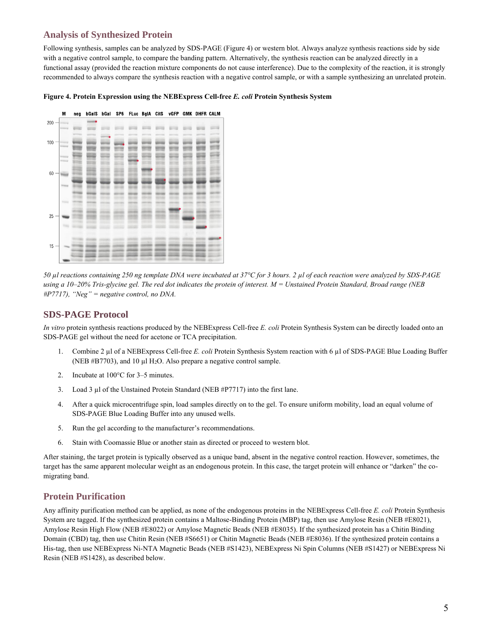### **Analysis of Synthesized Protein**

Following synthesis, samples can be analyzed by SDS-PAGE (Figure 4) or western blot. Always analyze synthesis reactions side by side with a negative control sample, to compare the banding pattern. Alternatively, the synthesis reaction can be analyzed directly in a functional assay (provided the reaction mixture components do not cause interference). Due to the complexity of the reaction, it is strongly recommended to always compare the synthesis reaction with a negative control sample, or with a sample synthesizing an unrelated protein.

### **Figure 4. Protein Expression using the NEBExpress Cell-free** *E. coli* **Protein Synthesis System**



*50 µl reactions containing 250 ng template DNA were incubated at 37°C for 3 hours. 2 µl of each reaction were analyzed by SDS-PAGE using a 10–20% Tris-glycine gel. The red dot indicates the protein of interest. M = Unstained Protein Standard, Broad range (NEB #P7717), "Neg" = negative control, no DNA.* 

### **SDS-PAGE Protocol**

*In vitro* protein synthesis reactions produced by the NEBExpress Cell-free *E. coli* Protein Synthesis System can be directly loaded onto an SDS-PAGE gel without the need for acetone or TCA precipitation.

- 1. Combine 2 µl of a NEBExpress Cell-free *E. coli* Protein Synthesis System reaction with 6 µl of SDS-PAGE Blue Loading Buffer (NEB  $#B7703$ ), and 10 µl H<sub>2</sub>O. Also prepare a negative control sample.
- 2. Incubate at 100°C for 3–5 minutes.
- 3. Load 3 µl of the Unstained Protein Standard (NEB #P7717) into the first lane.
- 4. After a quick microcentrifuge spin, load samples directly on to the gel. To ensure uniform mobility, load an equal volume of SDS-PAGE Blue Loading Buffer into any unused wells.
- 5. Run the gel according to the manufacturer's recommendations.
- 6. Stain with Coomassie Blue or another stain as directed or proceed to western blot.

After staining, the target protein is typically observed as a unique band, absent in the negative control reaction. However, sometimes, the target has the same apparent molecular weight as an endogenous protein. In this case, the target protein will enhance or "darken" the comigrating band.

### **Protein Purification**

Any affinity purification method can be applied, as none of the endogenous proteins in the NEBExpress Cell-free *E. coli* Protein Synthesis System are tagged. If the synthesized protein contains a Maltose-Binding Protein (MBP) tag, then use Amylose Resin (NEB #E8021), Amylose Resin High Flow (NEB #E8022) or Amylose Magnetic Beads (NEB #E8035). If the synthesized protein has a Chitin Binding Domain (CBD) tag, then use Chitin Resin (NEB #S6651) or Chitin Magnetic Beads (NEB #E8036). If the synthesized protein contains a His-tag, then use NEBExpress Ni-NTA Magnetic Beads (NEB #S1423), NEBExpress Ni Spin Columns (NEB #S1427) or NEBExpress Ni Resin (NEB #S1428), as described below.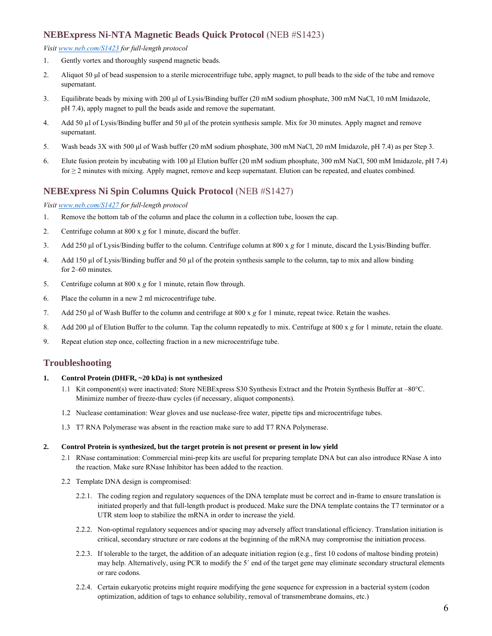### **NEBExpress Ni-NTA Magnetic Beads Quick Protocol** (NEB #S1423)

### *Visit [www.neb.com/S1423](http://www.neb.com/S1423) for full-length protocol*

- 1. Gently vortex and thoroughly suspend magnetic beads.
- 2. Aliquot 50 μl of bead suspension to a sterile microcentrifuge tube, apply magnet, to pull beads to the side of the tube and remove supernatant.
- 3. Equilibrate beads by mixing with 200 μl of Lysis/Binding buffer (20 mM sodium phosphate, 300 mM NaCl, 10 mM Imidazole, pH 7.4), apply magnet to pull the beads aside and remove the supernatant.
- 4. Add 50 µl of Lysis/Binding buffer and 50 µl of the protein synthesis sample. Mix for 30 minutes. Apply magnet and remove supernatant.
- 5. Wash beads 3X with 500 μl of Wash buffer (20 mM sodium phosphate, 300 mM NaCl, 20 mM Imidazole, pH 7.4) as per Step 3.
- 6. Elute fusion protein by incubating with 100 μl Elution buffer (20 mM sodium phosphate, 300 mM NaCl, 500 mM Imidazole, pH 7.4) for ≥ 2 minutes with mixing. Apply magnet, remove and keep supernatant. Elution can be repeated, and eluates combined.

### **NEBExpress Ni Spin Columns Quick Protocol** (NEB #S1427)

#### *Visit [www.neb.com/S1427](http://www.neb.com/S1427) for full-length protocol*

- 1. Remove the bottom tab of the column and place the column in a collection tube, loosen the cap.
- 2. Centrifuge column at 800 x *g* for 1 minute, discard the buffer.
- 3. Add 250 μl of Lysis/Binding buffer to the column. Centrifuge column at 800 x *g* for 1 minute, discard the Lysis/Binding buffer.
- 4. Add 150 µl of Lysis/Binding buffer and 50 µl of the protein synthesis sample to the column, tap to mix and allow binding for 2–60 minutes.
- 5. Centrifuge column at 800 x *g* for 1 minute, retain flow through.
- 6. Place the column in a new 2 ml microcentrifuge tube.
- 7. Add 250 μl of Wash Buffer to the column and centrifuge at 800 x *g* for 1 minute, repeat twice. Retain the washes.
- 8. Add 200 μl of Elution Buffer to the column. Tap the column repeatedly to mix. Centrifuge at 800 x *g* for 1 minute, retain the eluate.
- 9. Repeat elution step once, collecting fraction in a new microcentrifuge tube.

### **Troubleshooting**

#### **1. Control Protein (DHFR, ~20 kDa) is not synthesized**

- 1.1 Kit component(s) were inactivated: Store NEBExpress S30 Synthesis Extract and the Protein Synthesis Buffer at –80°C. Minimize number of freeze-thaw cycles (if necessary, aliquot components).
- 1.2 Nuclease contamination: Wear gloves and use nuclease-free water, pipette tips and microcentrifuge tubes.
- 1.3 T7 RNA Polymerase was absent in the reaction make sure to add T7 RNA Polymerase.

#### **2. Control Protein is synthesized, but the target protein is not present or present in low yield**

- 2.1 RNase contamination: Commercial mini-prep kits are useful for preparing template DNA but can also introduce RNase A into the reaction. Make sure RNase Inhibitor has been added to the reaction.
- 2.2 Template DNA design is compromised:
	- 2.2.1. The coding region and regulatory sequences of the DNA template must be correct and in-frame to ensure translation is initiated properly and that full-length product is produced. Make sure the DNA template contains the T7 terminator or a UTR stem loop to stabilize the mRNA in order to increase the yield.
	- 2.2.2. Non-optimal regulatory sequences and/or spacing may adversely affect translational efficiency. Translation initiation is critical, secondary structure or rare codons at the beginning of the mRNA may compromise the initiation process.
	- 2.2.3. If tolerable to the target, the addition of an adequate initiation region (e.g., first 10 codons of maltose binding protein) may help. Alternatively, using PCR to modify the 5´ end of the target gene may eliminate secondary structural elements or rare codons.
	- 2.2.4. Certain eukaryotic proteins might require modifying the gene sequence for expression in a bacterial system (codon optimization, addition of tags to enhance solubility, removal of transmembrane domains, etc.)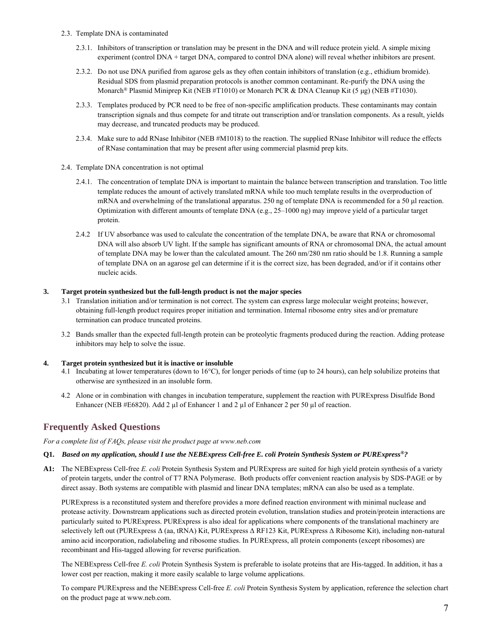- 2.3. Template DNA is contaminated
	- 2.3.1. Inhibitors of transcription or translation may be present in the DNA and will reduce protein yield. A simple mixing experiment (control DNA + target DNA, compared to control DNA alone) will reveal whether inhibitors are present.
	- 2.3.2. Do not use DNA purified from agarose gels as they often contain inhibitors of translation (e.g., ethidium bromide). Residual SDS from plasmid preparation protocols is another common contaminant. Re-purify the DNA using the Monarch<sup>®</sup> Plasmid Miniprep Kit (NEB #T1010) or Monarch PCR & DNA Cleanup Kit (5 µg) (NEB #T1030).
	- 2.3.3. Templates produced by PCR need to be free of non-specific amplification products. These contaminants may contain transcription signals and thus compete for and titrate out transcription and/or translation components. As a result, yields may decrease, and truncated products may be produced.
	- 2.3.4. Make sure to add RNase Inhibitor (NEB #M1018) to the reaction. The supplied RNase Inhibitor will reduce the effects of RNase contamination that may be present after using commercial plasmid prep kits.
- 2.4. Template DNA concentration is not optimal
	- 2.4.1. The concentration of template DNA is important to maintain the balance between transcription and translation. Too little template reduces the amount of actively translated mRNA while too much template results in the overproduction of mRNA and overwhelming of the translational apparatus. 250 ng of template DNA is recommended for a 50 µl reaction. Optimization with different amounts of template DNA (e.g., 25–1000 ng) may improve yield of a particular target protein.
	- 2.4.2 If UV absorbance was used to calculate the concentration of the template DNA, be aware that RNA or chromosomal DNA will also absorb UV light. If the sample has significant amounts of RNA or chromosomal DNA, the actual amount of template DNA may be lower than the calculated amount. The 260 nm/280 nm ratio should be 1.8. Running a sample of template DNA on an agarose gel can determine if it is the correct size, has been degraded, and/or if it contains other nucleic acids.

### **3. Target protein synthesized but the full-length product is not the major species**

- 3.1 Translation initiation and/or termination is not correct. The system can express large molecular weight proteins; however, obtaining full-length product requires proper initiation and termination. Internal ribosome entry sites and/or premature termination can produce truncated proteins.
- 3.2 Bands smaller than the expected full-length protein can be proteolytic fragments produced during the reaction. Adding protease inhibitors may help to solve the issue.

### **4. Target protein synthesized but it is inactive or insoluble**

- 4.1 Incubating at lower temperatures (down to 16°C), for longer periods of time (up to 24 hours), can help solubilize proteins that otherwise are synthesized in an insoluble form.
- 4.2 Alone or in combination with changes in incubation temperature, supplement the reaction with PURExpress Disulfide Bond Enhancer (NEB #E6820). Add 2 µl of Enhancer 1 and 2 µl of Enhancer 2 per 50 µl of reaction.

### **Frequently Asked Questions**

*For a complete list of FAQs, please visit the product page at www.neb.com*

### **Q1.** *Based on my application, should I use the NEBExpress Cell-free E. coli Protein Synthesis System or PURExpress®?*

**A1:** The NEBExpress Cell-free *E. coli* Protein Synthesis System and PURExpress are suited for high yield protein synthesis of a variety of protein targets, under the control of T7 RNA Polymerase. Both products offer convenient reaction analysis by SDS-PAGE or by direct assay. Both systems are compatible with plasmid and linear DNA templates; mRNA can also be used as a template.

PURExpress is a reconstituted system and therefore provides a more defined reaction environment with minimal nuclease and protease activity. Downstream applications such as directed protein evolution, translation studies and protein/protein interactions are particularly suited to PURExpress. PURExpress is also ideal for applications where components of the translational machinery are selectively left out (PURExpress Δ (aa, tRNA) Kit, PURExpress Δ RF123 Kit, PURExpress Δ Ribosome Kit), including non-natural amino acid incorporation, radiolabeling and ribosome studies. In PURExpress, all protein components (except ribosomes) are recombinant and His-tagged allowing for reverse purification.

The NEBExpress Cell-free *E. coli* Protein Synthesis System is preferable to isolate proteins that are His-tagged. In addition, it has a lower cost per reaction, making it more easily scalable to large volume applications.

To compare PURExpress and the NEBExpress Cell-free *E. coli* Protein Synthesis System by application, reference the selection chart on the product page at www.neb.com.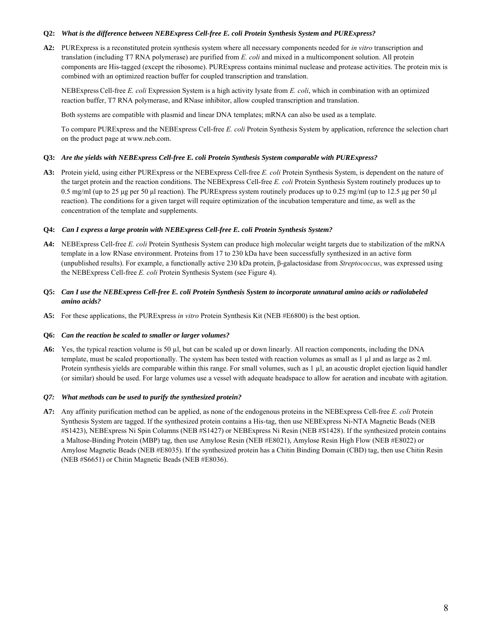#### **Q2:** *What is the difference between NEBExpress Cell-free E. coli Protein Synthesis System and PURExpress?*

**A2:** PURExpress is a reconstituted protein synthesis system where all necessary components needed for *in vitro* transcription and translation (including T7 RNA polymerase) are purified from *E. coli* and mixed in a multicomponent solution. All protein components are His-tagged (except the ribosome). PURExpress contains minimal nuclease and protease activities. The protein mix is combined with an optimized reaction buffer for coupled transcription and translation.

NEBExpress Cell-free *E. coli* Expression System is a high activity lysate from *E. coli*, which in combination with an optimized reaction buffer, T7 RNA polymerase, and RNase inhibitor, allow coupled transcription and translation.

Both systems are compatible with plasmid and linear DNA templates; mRNA can also be used as a template.

To compare PURExpress and the NEBExpress Cell-free *E. coli* Protein Synthesis System by application, reference the selection chart on the product page at www.neb.com.

#### **Q3:** *Are the yields with NEBExpress Cell-free E. coli Protein Synthesis System comparable with PURExpress?*

**A3:** Protein yield, using either PURExpress or the NEBExpress Cell-free *E. coli* Protein Synthesis System, is dependent on the nature of the target protein and the reaction conditions. The NEBExpress Cell-free *E. coli* Protein Synthesis System routinely produces up to 0.5 mg/ml (up to 25 μg per 50 μl reaction). The PURExpress system routinely produces up to 0.25 mg/ml (up to 12.5 μg per 50 μl reaction). The conditions for a given target will require optimization of the incubation temperature and time, as well as the concentration of the template and supplements.

#### **Q4:** *Can I express a large protein with NEBExpress Cell-free E. coli Protein Synthesis System?*

- **A4:** NEBExpress Cell-free *E. coli* Protein Synthesis System can produce high molecular weight targets due to stabilization of the mRNA template in a low RNase environment. Proteins from 17 to 230 kDa have been successfully synthesized in an active form (unpublished results). For example, a functionally active 230 kDa protein, β-galactosidase from *Streptococcus*, was expressed using the NEBExpress Cell-free *E. coli* Protein Synthesis System (see Figure 4).
- **Q5:** *Can I use the NEBExpress Cell-free E. coli Protein Synthesis System to incorporate unnatural amino acids or radiolabeled amino acids?*
- **A5:** For these applications, the PURExpress *in vitro* Protein Synthesis Kit (NEB #E6800) is the best option.

#### **Q6:** *Can the reaction be scaled to smaller or larger volumes?*

**A6:** Yes, the typical reaction volume is 50 µl, but can be scaled up or down linearly. All reaction components, including the DNA template, must be scaled proportionally. The system has been tested with reaction volumes as small as 1 µl and as large as 2 ml. Protein synthesis yields are comparable within this range. For small volumes, such as 1 µl, an acoustic droplet ejection liquid handler (or similar) should be used. For large volumes use a vessel with adequate headspace to allow for aeration and incubate with agitation.

#### *Q7: What methods can be used to purify the synthesized protein?*

**A7:** Any affinity purification method can be applied, as none of the endogenous proteins in the NEBExpress Cell-free *E. coli* Protein Synthesis System are tagged. If the synthesized protein contains a His-tag, then use NEBExpress Ni-NTA Magnetic Beads (NEB #S1423), NEBExpress Ni Spin Columns (NEB #S1427) or NEBExpress Ni Resin (NEB #S1428). If the synthesized protein contains a Maltose-Binding Protein (MBP) tag, then use Amylose Resin (NEB #E8021), Amylose Resin High Flow (NEB #E8022) or Amylose Magnetic Beads (NEB #E8035). If the synthesized protein has a Chitin Binding Domain (CBD) tag, then use Chitin Resin (NEB #S6651) or Chitin Magnetic Beads (NEB #E8036).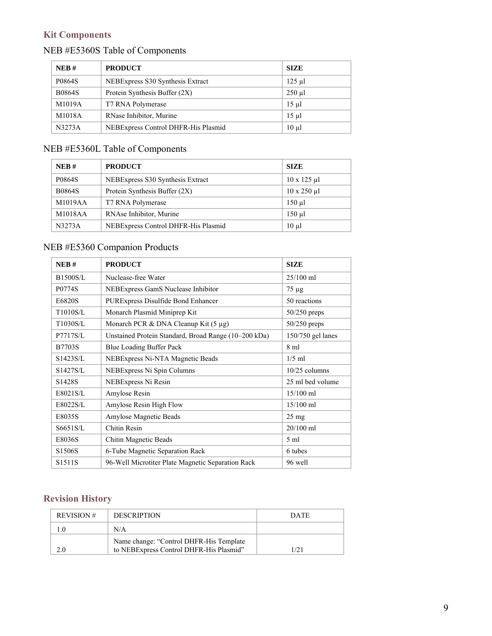# **Kit Components**

# NEB #E5360S Table of Components

| NEB#          | <b>PRODUCT</b>                      | <b>SIZE</b>   |
|---------------|-------------------------------------|---------------|
| P0864S        | NEBExpress S30 Synthesis Extract    | $125$ $\mu$ l |
| <b>B0864S</b> | Protein Synthesis Buffer $(2X)$     | $250$ $\mu$   |
| M1019A        | T7 RNA Polymerase                   | $15 \mu$      |
| M1018A        | RNase Inhibitor, Murine             | $15 \mu$      |
| N3273A        | NEBExpress Control DHFR-His Plasmid | $10 \mu l$    |

# NEB #E5360L Table of Components

| NEB#          | <b>PRODUCT</b>                      | <b>SIZE</b>                |
|---------------|-------------------------------------|----------------------------|
| P0864S        | NEBExpress S30 Synthesis Extract    | $10 \times 125 \text{ µl}$ |
| <b>B0864S</b> | Protein Synthesis Buffer (2X)       | $10 \times 250 \text{ µl}$ |
| M1019AA       | T7 RNA Polymerase                   | $150$ $\mu$                |
| M1018AA       | RNAse Inhibitor, Murine             | $150$ $\mu$                |
| N3273A        | NEBExpress Control DHFR-His Plasmid | $10 \mu$                   |

## NEB #E5360 Companion Products

| NEB#                  | <b>PRODUCT</b>                                       | <b>SIZE</b>       |
|-----------------------|------------------------------------------------------|-------------------|
| <b>B1500S/L</b>       | Nuclease-free Water                                  | $25/100$ ml       |
| P0774S                | NEBExpress GamS Nuclease Inhibitor                   | $75 \mu g$        |
| E6820S                | PURExpress Disulfide Bond Enhancer                   | 50 reactions      |
| T1010S/L              | Monarch Plasmid Miniprep Kit                         | $50/250$ preps    |
| T1030S/L              | Monarch PCR & DNA Cleanup Kit $(5 \mu g)$            | 50/250 preps      |
| P7717S/L              | Unstained Protein Standard, Broad Range (10-200 kDa) | 150/750 gel lanes |
| <b>B7703S</b>         | Blue Loading Buffer Pack                             | $8 \text{ ml}$    |
| S1423S/L              | NEBExpress Ni-NTA Magnetic Beads                     | $1/5$ ml          |
| S <sub>1427</sub> S/L | NEBExpress Ni Spin Columns                           | $10/25$ columns   |
| S <sub>1428</sub> S   | NEBExpress Ni Resin                                  | 25 ml bed volume  |
| E8021S/L              | Amylose Resin                                        | $15/100$ ml       |
| E8022S/L              | Amylose Resin High Flow                              | $15/100$ ml       |
| E8035S                | Amylose Magnetic Beads                               | $25 \text{ mg}$   |
| S6651S/L              | Chitin Resin                                         | 20/100 ml         |
| E8036S                | Chitin Magnetic Beads                                | $5 \text{ ml}$    |
| S <sub>1506</sub> S   | 6-Tube Magnetic Separation Rack                      | 6 tubes           |
| S <sub>1511</sub> S   | 96-Well Microtiter Plate Magnetic Separation Rack    | 96 well           |

## **Revision History**

| <b>REVISION#</b> | <b>DESCRIPTION</b>                                                                 | <b>DATE</b> |
|------------------|------------------------------------------------------------------------------------|-------------|
|                  | N/A                                                                                |             |
|                  | Name change: "Control DHFR-His Template<br>to NEBExpress Control DHFR-His Plasmid" |             |